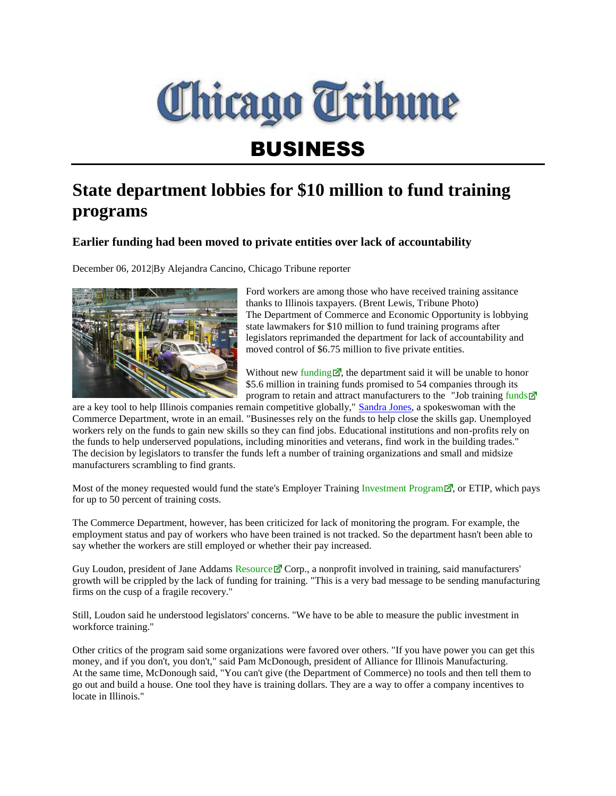

## BUSINESS

## **State department lobbies for \$10 million to fund training programs**

## **Earlier funding had been moved to private entities over lack of accountability**

December 06, 2012|By Alejandra Cancino, Chicago Tribune reporter



Ford workers are among those who have received training assitance thanks to Illinois taxpayers. (Brent Lewis, Tribune Photo) The Department of Commerce and Economic Opportunity is lobbying state lawmakers for \$10 million to fund training programs after legislators reprimanded the department for lack of accountability and moved control of \$6.75 million to five private entities.

Without new [funding](http://articles.chicagotribune.com/2012-12-06/business/ct-biz-1206-etip-funding--20121206_1_appropriations-general-services-committee-illinois-companies-funds)  $\vec{r}$ , the department said it will be unable to honor \$5.6 million in training funds promised to 54 companies through its program to retain and attract manufacturers to the "Job training [funds](http://articles.chicagotribune.com/2012-12-06/business/ct-biz-1206-etip-funding--20121206_1_appropriations-general-services-committee-illinois-companies-funds)  $\vec{r}$ "

are a key tool to help Illinois companies remain competitive globally," [Sandra Jones,](http://bio.tribune.com/SandraJones) a spokeswoman with the Commerce Department, wrote in an email. "Businesses rely on the funds to help close the skills gap. Unemployed workers rely on the funds to gain new skills so they can find jobs. Educational institutions and non-profits rely on the funds to help underserved populations, including minorities and veterans, find work in the building trades." The decision by legislators to transfer the funds left a number of training organizations and small and midsize manufacturers scrambling to find grants.

Most of the money requested would fund the state's Employer Trainin[g Investment Program](http://articles.chicagotribune.com/2012-12-06/business/ct-biz-1206-etip-funding--20121206_1_appropriations-general-services-committee-illinois-companies-funds)  $\mathbb{Z}$ , or ETIP, which pays for up to 50 percent of training costs.

The Commerce Department, however, has been criticized for lack of monitoring the program. For example, the employment status and pay of workers who have been trained is not tracked. So the department hasn't been able to say whether the workers are still employed or whether their pay increased.

Guy Loudon, president of Jane Addams [Resource](http://articles.chicagotribune.com/2012-12-06/business/ct-biz-1206-etip-funding--20121206_1_appropriations-general-services-committee-illinois-companies-funds)  $\mathbb Z$  Corp., a nonprofit involved in training, said manufacturers' growth will be crippled by the lack of funding for training. "This is a very bad message to be sending manufacturing firms on the cusp of a fragile recovery."

Still, Loudon said he understood legislators' concerns. "We have to be able to measure the public investment in workforce training."

Other critics of the program said some organizations were favored over others. "If you have power you can get this money, and if you don't, you don't," said Pam McDonough, president of Alliance for Illinois Manufacturing. At the same time, McDonough said, "You can't give (the Department of Commerce) no tools and then tell them to go out and build a house. One tool they have is training dollars. They are a way to offer a company incentives to locate in Illinois."